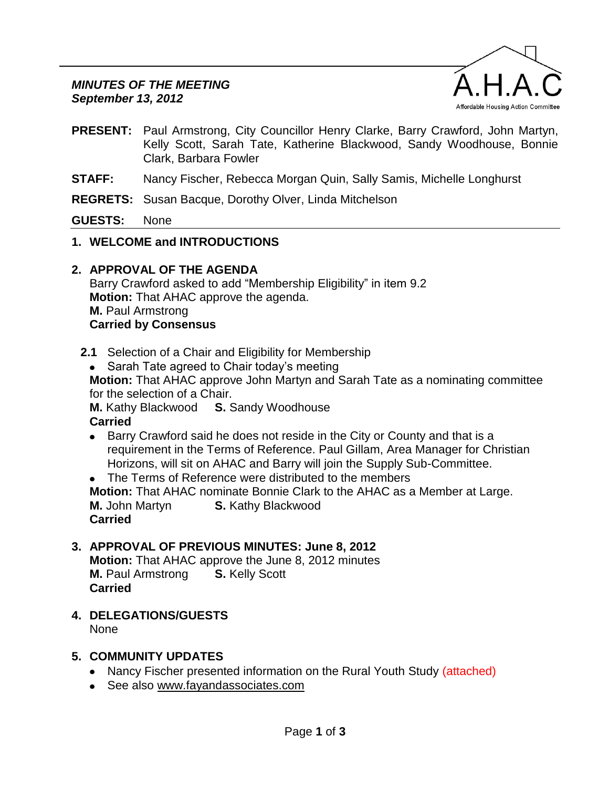

- **PRESENT:** Paul Armstrong, City Councillor Henry Clarke, Barry Crawford, John Martyn, Kelly Scott, Sarah Tate, Katherine Blackwood, Sandy Woodhouse, Bonnie Clark, Barbara Fowler
- **STAFF:** Nancy Fischer, Rebecca Morgan Quin, Sally Samis, Michelle Longhurst
- **REGRETS:** Susan Bacque, Dorothy Olver, Linda Mitchelson

**GUESTS:** None

- **1. WELCOME and INTRODUCTIONS**
- **2. APPROVAL OF THE AGENDA**

Barry Crawford asked to add "Membership Eligibility" in item 9.2 **Motion:** That AHAC approve the agenda. **M.** Paul Armstrong **Carried by Consensus**

- **2.1** Selection of a Chair and Eligibility for Membership
	- Sarah Tate agreed to Chair today's meeting

**Motion:** That AHAC approve John Martyn and Sarah Tate as a nominating committee for the selection of a Chair.

**M.** Kathy Blackwood **S.** Sandy Woodhouse **Carried**

• Barry Crawford said he does not reside in the City or County and that is a requirement in the Terms of Reference. Paul Gillam, Area Manager for Christian Horizons, will sit on AHAC and Barry will join the Supply Sub-Committee.

• The Terms of Reference were distributed to the members **Motion:** That AHAC nominate Bonnie Clark to the AHAC as a Member at Large. **M.** John Martyn **S.** Kathy Blackwood **Carried**

# **3. APPROVAL OF PREVIOUS MINUTES: June 8, 2012**

**Motion:** That AHAC approve the June 8, 2012 minutes **M.** Paul Armstrong **S.** Kelly Scott **Carried**

**4. DELEGATIONS/GUESTS**

None

# **5. COMMUNITY UPDATES**

- Nancy Fischer presented information on the Rural Youth Study (attached)
- See also [www.fayandassociates.com](http://www.fayandassociates.com/)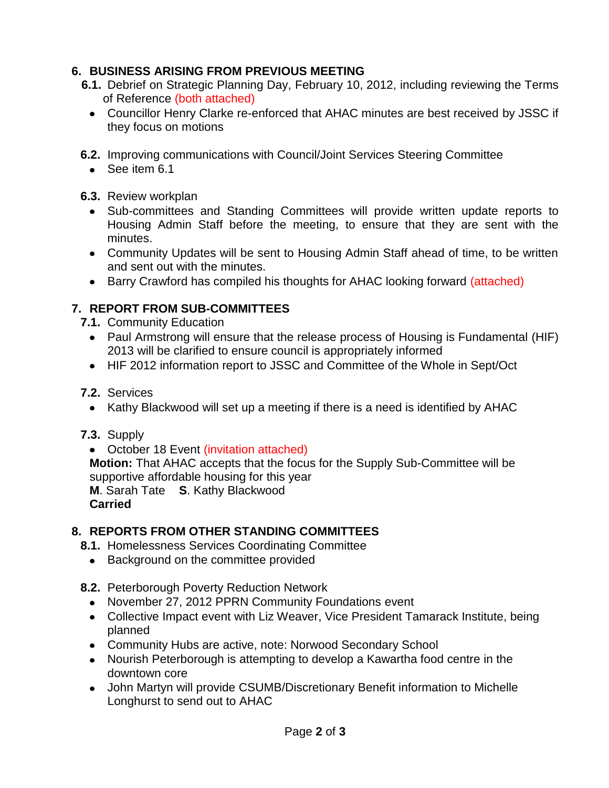# **6. BUSINESS ARISING FROM PREVIOUS MEETING**

- **6.1.** Debrief on Strategic Planning Day, February 10, 2012, including reviewing the Terms of Reference (both attached)
	- Councillor Henry Clarke re-enforced that AHAC minutes are best received by JSSC if they focus on motions
- **6.2.** Improving communications with Council/Joint Services Steering Committee
	- See item 6.1

## **6.3.** Review workplan

- Sub-committees and Standing Committees will provide written update reports to Housing Admin Staff before the meeting, to ensure that they are sent with the minutes.
- Community Updates will be sent to Housing Admin Staff ahead of time, to be written and sent out with the minutes.
- Barry Crawford has compiled his thoughts for AHAC looking forward (attached)

# **7. REPORT FROM SUB-COMMITTEES**

- **7.1.** Community Education
	- Paul Armstrong will ensure that the release process of Housing is Fundamental (HIF) 2013 will be clarified to ensure council is appropriately informed
	- HIF 2012 information report to JSSC and Committee of the Whole in Sept/Oct

# **7.2.** Services

• Kathy Blackwood will set up a meeting if there is a need is identified by AHAC

# **7.3.** Supply

• October 18 Event (invitation attached)

**Motion:** That AHAC accepts that the focus for the Supply Sub-Committee will be supportive affordable housing for this year

**M**. Sarah Tate **S**. Kathy Blackwood **Carried**

# **8. REPORTS FROM OTHER STANDING COMMITTEES**

- **8.1.** Homelessness Services Coordinating Committee
	- Background on the committee provided
- **8.2.** Peterborough Poverty Reduction Network
	- November 27, 2012 PPRN Community Foundations event
	- Collective Impact event with Liz Weaver, Vice President Tamarack Institute, being planned
	- Community Hubs are active, note: Norwood Secondary School
	- Nourish Peterborough is attempting to develop a Kawartha food centre in the downtown core
	- John Martyn will provide CSUMB/Discretionary Benefit information to Michelle Longhurst to send out to AHAC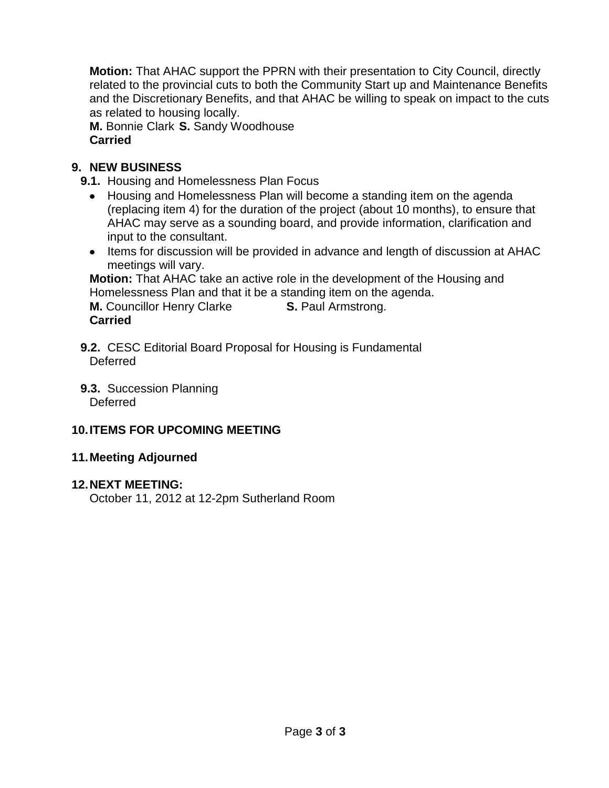**Motion:** That AHAC support the PPRN with their presentation to City Council, directly related to the provincial cuts to both the Community Start up and Maintenance Benefits and the Discretionary Benefits, and that AHAC be willing to speak on impact to the cuts as related to housing locally.

**M.** Bonnie Clark **S.** Sandy Woodhouse **Carried**

# **9. NEW BUSINESS**

**9.1.** Housing and Homelessness Plan Focus

- Housing and Homelessness Plan will become a standing item on the agenda (replacing item 4) for the duration of the project (about 10 months), to ensure that AHAC may serve as a sounding board, and provide information, clarification and input to the consultant.
- Items for discussion will be provided in advance and length of discussion at AHAC meetings will vary.

**Motion:** That AHAC take an active role in the development of the Housing and Homelessness Plan and that it be a standing item on the agenda.

**M.** Councillor Henry Clarke **S.** Paul Armstrong. **Carried**

- **9.2.** CESC Editorial Board Proposal for Housing is Fundamental Deferred
- **9.3.** Succession Planning Deferred

# **10.ITEMS FOR UPCOMING MEETING**

# **11.Meeting Adjourned**

# **12.NEXT MEETING:**

October 11, 2012 at 12-2pm Sutherland Room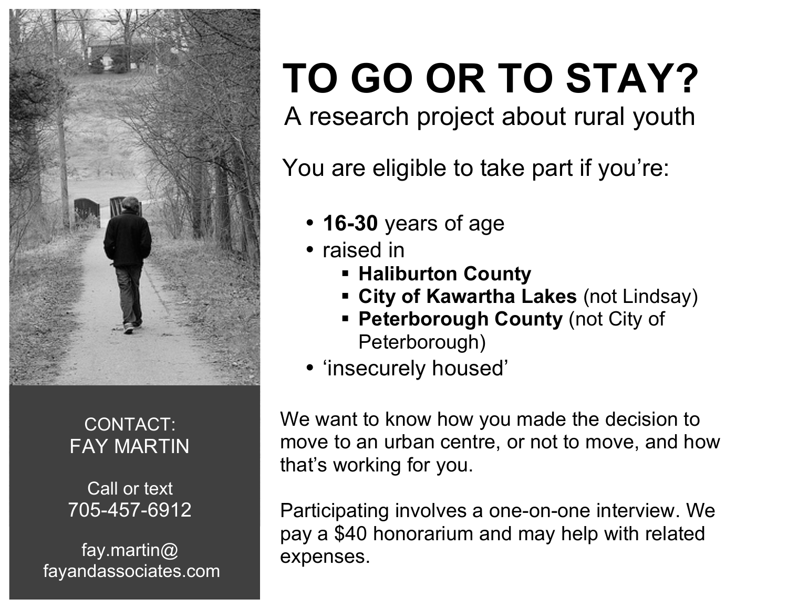

# CONTACT: FAY MARTIN

Call or text 705-457-6912

fay.martin@ fayandassociates.com

# **TO GO OR TO STAY?**<br>A research project about rural youth

You are eligible to take part if you're:

- **16-30** years of age
- raised in
	- § **Haliburton County**
	- § **City of Kawartha Lakes** (not Lindsay)
	- **Peterborough County (not City of** Peterborough)
- 'insecurely housed'

 We want to know how you made the decision to move to an urban centre, or not to move, and how that's working for you.

 Participating involves a one-on-one interview. We pay a \$40 honorarium and may help with related expenses.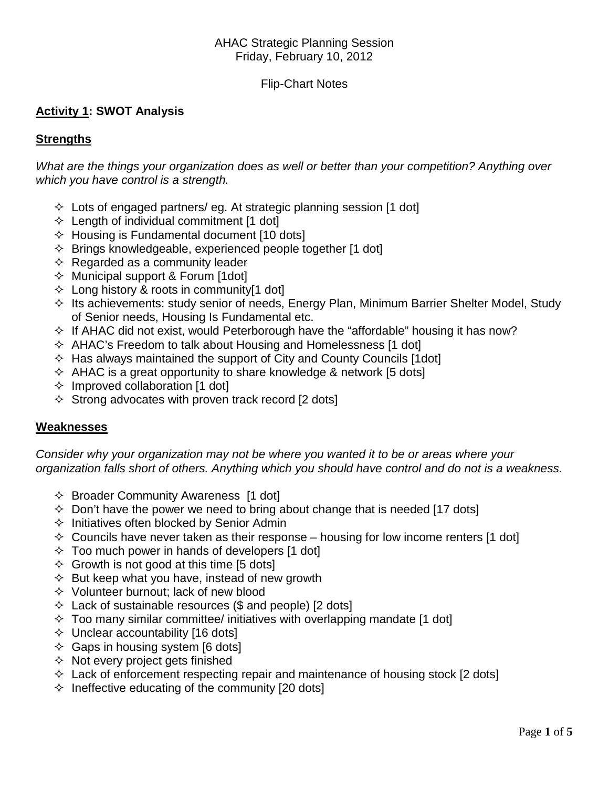### AHAC Strategic Planning Session Friday, February 10, 2012

### Flip-Chart Notes

## **Activity 1: SWOT Analysis**

### **Strengths**

*What are the things your organization does as well or better than your competition? Anything over which you have control is a strength.*

- $\Diamond$  Lots of engaged partners/ eg. At strategic planning session [1 dot]
- $\Diamond$  Length of individual commitment [1 dot]
- $\Diamond$  Housing is Fundamental document [10 dots]
- $\Diamond$  Brings knowledgeable, experienced people together [1 dot]
- $\Leftrightarrow$  Regarded as a community leader
- $\Diamond$  Municipal support & Forum [1dot]
- $\Diamond$  Long history & roots in community[1 dot]
- $\Diamond$  Its achievements: study senior of needs, Energy Plan, Minimum Barrier Shelter Model, Study of Senior needs, Housing Is Fundamental etc.
- $\Diamond$  If AHAC did not exist, would Peterborough have the "affordable" housing it has now?
- $\Diamond$  AHAC's Freedom to talk about Housing and Homelessness [1 dot]
- $\Diamond$  Has always maintained the support of City and County Councils [1dot]
- $\Diamond$  AHAC is a great opportunity to share knowledge & network [5 dots]
- $\Diamond$  Improved collaboration [1 dot]
- $\Diamond$  Strong advocates with proven track record [2 dots]

### **Weaknesses**

*Consider why your organization may not be where you wanted it to be or areas where your organization falls short of others. Anything which you should have control and do not is a weakness.*

- $\Diamond$  Broader Community Awareness [1 dot]
- $\Diamond$  Don't have the power we need to bring about change that is needed [17 dots]
- $\Diamond$  Initiatives often blocked by Senior Admin
- $\Diamond$  Councils have never taken as their response housing for low income renters [1 dot]
- $\Diamond$  Too much power in hands of developers [1 dot]
- $\Diamond$  Growth is not good at this time [5 dots]
- $\Diamond$  But keep what you have, instead of new growth
- $\Diamond$  Volunteer burnout; lack of new blood
- $\Diamond$  Lack of sustainable resources (\$ and people) [2 dots]
- $\Diamond$  Too many similar committee/ initiatives with overlapping mandate [1 dot]
- $\Diamond$  Unclear accountability [16 dots]
- $\Diamond$  Gaps in housing system [6 dots]
- $\Diamond$  Not every project gets finished
- $\Diamond$  Lack of enforcement respecting repair and maintenance of housing stock [2 dots]
- $\Diamond$  Ineffective educating of the community [20 dots]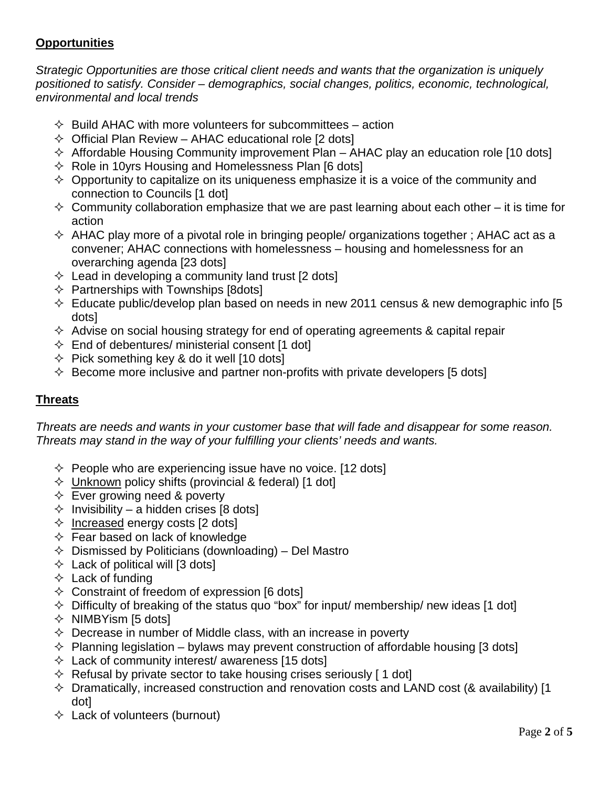# **Opportunities**

*Strategic Opportunities are those critical client needs and wants that the organization is uniquely positioned to satisfy. Consider – demographics, social changes, politics, economic, technological, environmental and local trends*

- $\Diamond$  Build AHAC with more volunteers for subcommittees action
- $\Diamond$  Official Plan Review AHAC educational role [2 dots]
- $\Diamond$  Affordable Housing Community improvement Plan AHAC play an education role [10 dots]
- $\Diamond$  Role in 10 yrs Housing and Homelessness Plan [6 dots]
- $\Diamond$  Opportunity to capitalize on its uniqueness emphasize it is a voice of the community and connection to Councils [1 dot]
- $\Diamond$  Community collaboration emphasize that we are past learning about each other it is time for action
- $\Diamond$  AHAC play more of a pivotal role in bringing people/ organizations together ; AHAC act as a convener; AHAC connections with homelessness – housing and homelessness for an overarching agenda [23 dots]
- $\Diamond$  Lead in developing a community land trust [2 dots]
- $\Diamond$  Partnerships with Townships [8dots]
- $\Diamond$  Educate public/develop plan based on needs in new 2011 census & new demographic info [5] dots]
- $\Diamond$  Advise on social housing strategy for end of operating agreements & capital repair
- $\Diamond$  End of debentures/ ministerial consent [1 dot]
- $\Diamond$  Pick something key & do it well [10 dots]
- $\Diamond$  Become more inclusive and partner non-profits with private developers [5 dots]

# **Threats**

*Threats are needs and wants in your customer base that will fade and disappear for some reason. Threats may stand in the way of your fulfilling your clients' needs and wants.*

- $\Diamond$  People who are experiencing issue have no voice. [12 dots]
- $\Diamond$  Unknown policy shifts (provincial & federal) [1 dot]
- $\Diamond$  Ever growing need & poverty
- $\Diamond$  Invisibility a hidden crises [8 dots]
- $\Diamond$  Increased energy costs [2 dots]
- $\Diamond$  Fear based on lack of knowledge
- $\Diamond$  Dismissed by Politicians (downloading) Del Mastro
- $\Diamond$  Lack of political will [3 dots]
- $\Diamond$  Lack of funding
- $\Diamond$  Constraint of freedom of expression [6 dots]
- $\Diamond$  Difficulty of breaking of the status quo "box" for input/ membership/ new ideas [1 dot]
- $\Diamond$  NIMBYism [5 dots]
- $\Diamond$  Decrease in number of Middle class, with an increase in poverty
- $\Diamond$  Planning legislation bylaws may prevent construction of affordable housing [3 dots]
- $\Diamond$  Lack of community interest/ awareness [15 dots]
- $\Diamond$  Refusal by private sector to take housing crises seriously [1 dot]
- $\Diamond$  Dramatically, increased construction and renovation costs and LAND cost (& availability) [1] dot]
- $\Diamond$  Lack of volunteers (burnout)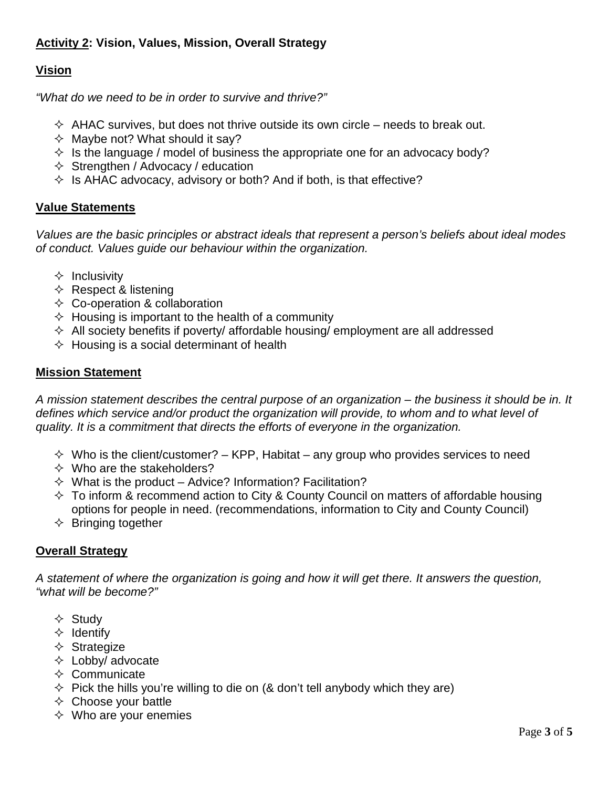# **Activity 2: Vision, Values, Mission, Overall Strategy**

# **Vision**

*"What do we need to be in order to survive and thrive?"*

- $\Diamond$  AHAC survives, but does not thrive outside its own circle needs to break out.
- $\Diamond$  Maybe not? What should it say?
- $\Diamond$  Is the language / model of business the appropriate one for an advocacy body?
- $\Diamond$  Strengthen / Advocacy / education
- $\Diamond$  Is AHAC advocacy, advisory or both? And if both, is that effective?

### **Value Statements**

*Values are the basic principles or abstract ideals that represent a person's beliefs about ideal modes of conduct. Values guide our behaviour within the organization.*

- $\Diamond$  Inclusivity
- $\Diamond$  Respect & listening
- $\Diamond$  Co-operation & collaboration
- $\Diamond$  Housing is important to the health of a community
- $\Diamond$  All society benefits if poverty/ affordable housing/ employment are all addressed
- $\Diamond$  Housing is a social determinant of health

### **Mission Statement**

*A mission statement describes the central purpose of an organization – the business it should be in. It*  defines which service and/or product the organization will provide, to whom and to what level of *quality. It is a commitment that directs the efforts of everyone in the organization.*

- $\Diamond$  Who is the client/customer? KPP, Habitat any group who provides services to need
- $\Diamond$  Who are the stakeholders?
- $\Diamond$  What is the product Advice? Information? Facilitation?
- $\Diamond$  To inform & recommend action to City & County Council on matters of affordable housing options for people in need. (recommendations, information to City and County Council)
- $\Diamond$  Bringing together

### **Overall Strategy**

*A statement of where the organization is going and how it will get there. It answers the question, "what will be become?"*

- $\Leftrightarrow$  Study
- $\Leftrightarrow$  Identify
- $\Diamond$  Strategize
- $\Diamond$  Lobby/ advocate
- $\Leftrightarrow$  Communicate
- $\Diamond$  Pick the hills you're willing to die on (& don't tell anybody which they are)
- $\Leftrightarrow$  Choose your battle
- $\Diamond$  Who are your enemies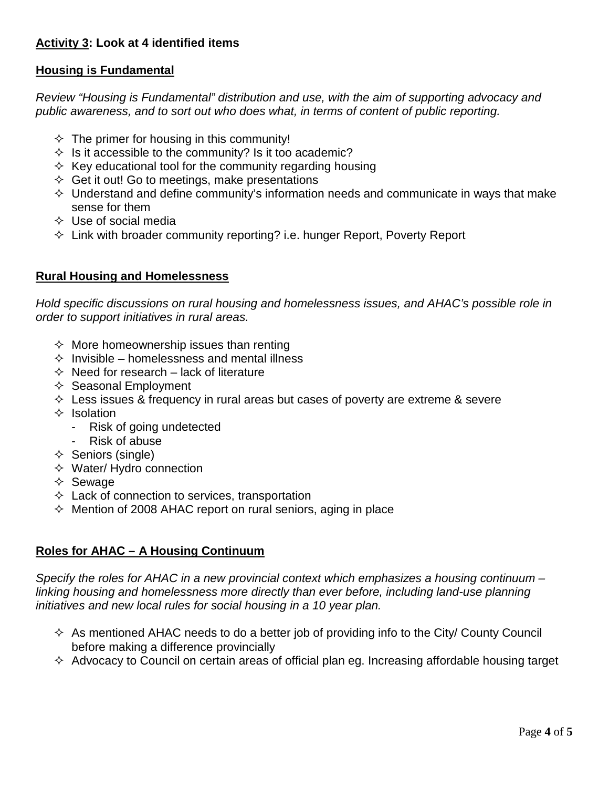# **Activity 3: Look at 4 identified items**

# **Housing is Fundamental**

*Review "Housing is Fundamental" distribution and use, with the aim of supporting advocacy and public awareness, and to sort out who does what, in terms of content of public reporting.*

- $\Diamond$  The primer for housing in this community!
- $\Diamond$  Is it accessible to the community? Is it too academic?
- $\Diamond$  Key educational tool for the community regarding housing
- $\Diamond$  Get it out! Go to meetings, make presentations
- $\Diamond$  Understand and define community's information needs and communicate in ways that make sense for them
- $\Diamond$  Use of social media
- $\Diamond$  Link with broader community reporting? i.e. hunger Report, Poverty Report

## **Rural Housing and Homelessness**

*Hold specific discussions on rural housing and homelessness issues, and AHAC's possible role in order to support initiatives in rural areas.*

- $\Diamond$  More homeownership issues than renting
- $\Diamond$  Invisible homelessness and mental illness
- $\Diamond$  Need for research lack of literature
- $\Leftrightarrow$  Seasonal Employment
- $\Diamond$  Less issues & frequency in rural areas but cases of poverty are extreme & severe
- $\Leftrightarrow$  Isolation
	- Risk of going undetected
	- Risk of abuse
- $\Diamond$  Seniors (single)
- $\Diamond$  Water/ Hydro connection
- $\Diamond$  Sewage
- $\Diamond$  Lack of connection to services, transportation
- $\Diamond$  Mention of 2008 AHAC report on rural seniors, aging in place

### **Roles for AHAC – A Housing Continuum**

*Specify the roles for AHAC in a new provincial context which emphasizes a housing continuum – linking housing and homelessness more directly than ever before, including land-use planning initiatives and new local rules for social housing in a 10 year plan.*

- $\Diamond$  As mentioned AHAC needs to do a better job of providing info to the City/ County Council before making a difference provincially
- $\Diamond$  Advocacy to Council on certain areas of official plan eg. Increasing affordable housing target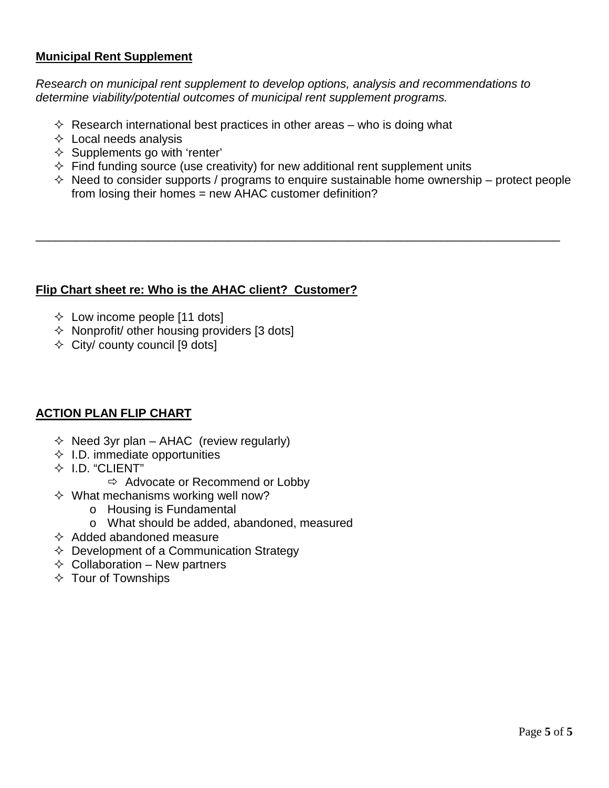# **Municipal Rent Supplement**

*Research on municipal rent supplement to develop options, analysis and recommendations to determine viability/potential outcomes of municipal rent supplement programs.*

- $\diamond$  Research international best practices in other areas who is doing what
- $\Leftrightarrow$  Local needs analysis
- $\Diamond$  Supplements go with 'renter'
- $\Diamond$  Find funding source (use creativity) for new additional rent supplement units
- $\Diamond$  Need to consider supports / programs to enquire sustainable home ownership protect people from losing their homes = new AHAC customer definition?

\_\_\_\_\_\_\_\_\_\_\_\_\_\_\_\_\_\_\_\_\_\_\_\_\_\_\_\_\_\_\_\_\_\_\_\_\_\_\_\_\_\_\_\_\_\_\_\_\_\_\_\_\_\_\_\_\_\_\_\_\_\_\_\_\_\_\_\_\_\_\_\_\_\_\_\_\_\_\_

### **Flip Chart sheet re: Who is the AHAC client? Customer?**

- $\Diamond$  Low income people [11 dots]
- $\Diamond$  Nonprofit/ other housing providers [3 dots]
- $\Diamond$  City/ county council [9 dots]

### **ACTION PLAN FLIP CHART**

- $\Diamond$  Need 3yr plan AHAC (review regularly)
- $\Diamond$  I.D. immediate opportunities
- $\div$  I.D. "CLIENT"
	- $\Rightarrow$  Advocate or Recommend or Lobby
- $\Diamond$  What mechanisms working well now?
	- o Housing is Fundamental
	- o What should be added, abandoned, measured
- $\Diamond$  Added abandoned measure
- $\Diamond$  Development of a Communication Strategy
- $\Diamond$  Collaboration New partners
- $\Diamond$  Tour of Townships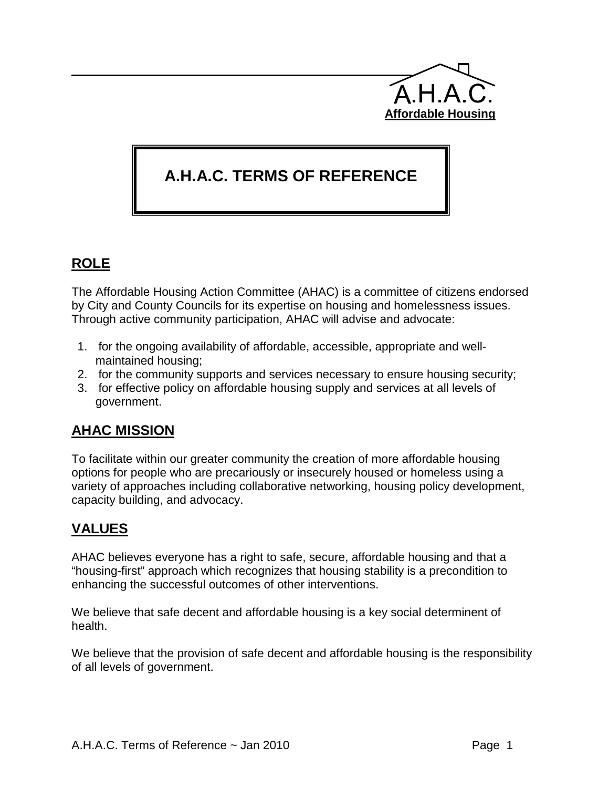

# **A.H.A.C. TERMS OF REFERENCE**

# **ROLE**

The Affordable Housing Action Committee (AHAC) is a committee of citizens endorsed by City and County Councils for its expertise on housing and homelessness issues. Through active community participation, AHAC will advise and advocate:

- 1. for the ongoing availability of affordable, accessible, appropriate and wellmaintained housing;
- 2. for the community supports and services necessary to ensure housing security;
- 3. for effective policy on affordable housing supply and services at all levels of government.

# **AHAC MISSION**

To facilitate within our greater community the creation of more affordable housing options for people who are precariously or insecurely housed or homeless using a variety of approaches including collaborative networking, housing policy development, capacity building, and advocacy.

# **VALUES**

AHAC believes everyone has a right to safe, secure, affordable housing and that a "housing-first" approach which recognizes that housing stability is a precondition to enhancing the successful outcomes of other interventions.

We believe that safe decent and affordable housing is a key social determinent of health.

We believe that the provision of safe decent and affordable housing is the responsibility of all levels of government.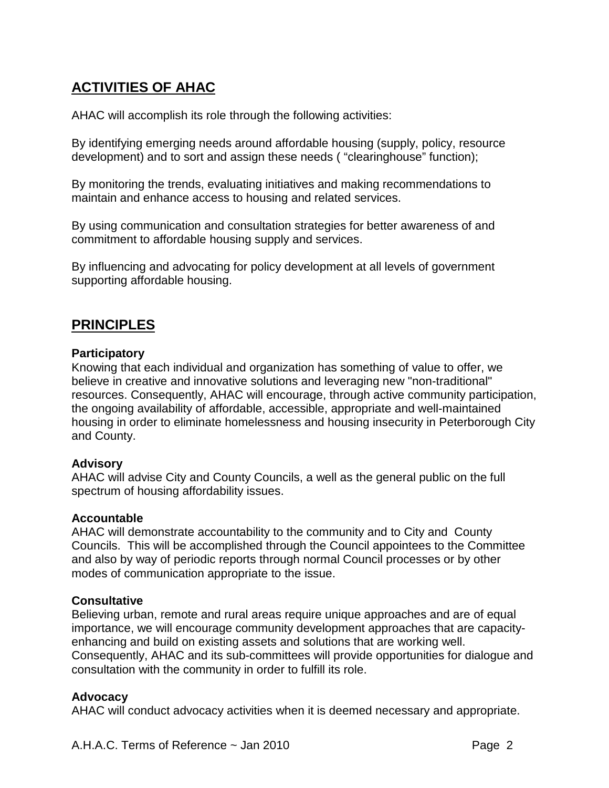# **ACTIVITIES OF AHAC**

AHAC will accomplish its role through the following activities:

By identifying emerging needs around affordable housing (supply, policy, resource development) and to sort and assign these needs ( "clearinghouse" function);

By monitoring the trends, evaluating initiatives and making recommendations to maintain and enhance access to housing and related services.

By using communication and consultation strategies for better awareness of and commitment to affordable housing supply and services.

By influencing and advocating for policy development at all levels of government supporting affordable housing.

# **PRINCIPLES**

## **Participatory**

Knowing that each individual and organization has something of value to offer, we believe in creative and innovative solutions and leveraging new "non-traditional" resources. Consequently, AHAC will encourage, through active community participation, the ongoing availability of affordable, accessible, appropriate and well-maintained housing in order to eliminate homelessness and housing insecurity in Peterborough City and County.

### **Advisory**

AHAC will advise City and County Councils, a well as the general public on the full spectrum of housing affordability issues.

### **Accountable**

AHAC will demonstrate accountability to the community and to City and County Councils. This will be accomplished through the Council appointees to the Committee and also by way of periodic reports through normal Council processes or by other modes of communication appropriate to the issue.

### **Consultative**

Believing urban, remote and rural areas require unique approaches and are of equal importance, we will encourage community development approaches that are capacityenhancing and build on existing assets and solutions that are working well. Consequently, AHAC and its sub-committees will provide opportunities for dialogue and consultation with the community in order to fulfill its role.

# **Advocacy**

AHAC will conduct advocacy activities when it is deemed necessary and appropriate.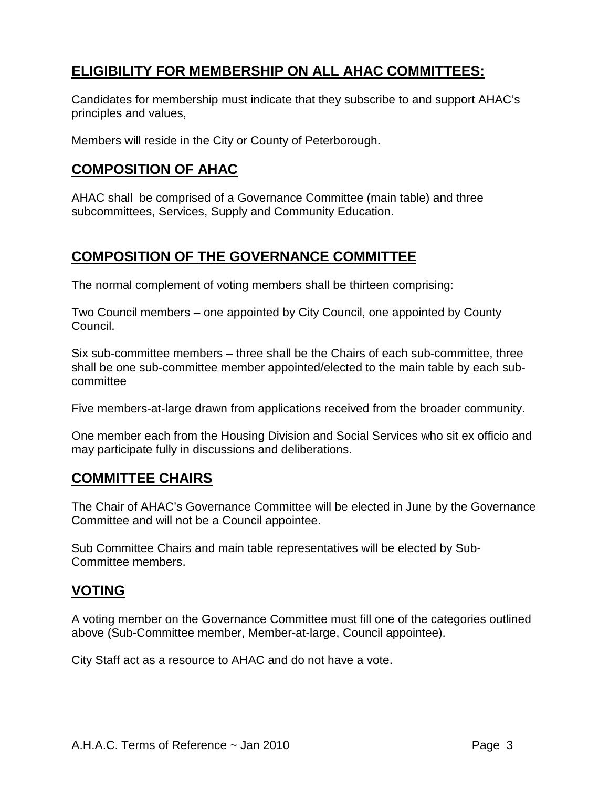# **ELIGIBILITY FOR MEMBERSHIP ON ALL AHAC COMMITTEES:**

Candidates for membership must indicate that they subscribe to and support AHAC's principles and values,

Members will reside in the City or County of Peterborough.

# **COMPOSITION OF AHAC**

AHAC shall be comprised of a Governance Committee (main table) and three subcommittees, Services, Supply and Community Education.

# **COMPOSITION OF THE GOVERNANCE COMMITTEE**

The normal complement of voting members shall be thirteen comprising:

Two Council members – one appointed by City Council, one appointed by County Council.

Six sub-committee members – three shall be the Chairs of each sub-committee, three shall be one sub-committee member appointed/elected to the main table by each subcommittee

Five members-at-large drawn from applications received from the broader community.

One member each from the Housing Division and Social Services who sit ex officio and may participate fully in discussions and deliberations.

# **COMMITTEE CHAIRS**

The Chair of AHAC's Governance Committee will be elected in June by the Governance Committee and will not be a Council appointee.

Sub Committee Chairs and main table representatives will be elected by Sub-Committee members.

# **VOTING**

A voting member on the Governance Committee must fill one of the categories outlined above (Sub-Committee member, Member-at-large, Council appointee).

City Staff act as a resource to AHAC and do not have a vote.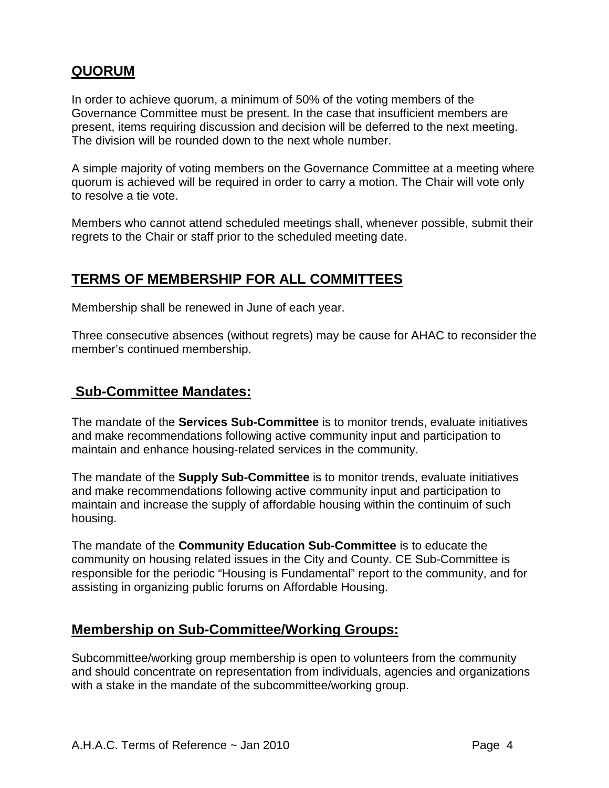# **QUORUM**

In order to achieve quorum, a minimum of 50% of the voting members of the Governance Committee must be present. In the case that insufficient members are present, items requiring discussion and decision will be deferred to the next meeting. The division will be rounded down to the next whole number.

A simple majority of voting members on the Governance Committee at a meeting where quorum is achieved will be required in order to carry a motion. The Chair will vote only to resolve a tie vote.

Members who cannot attend scheduled meetings shall, whenever possible, submit their regrets to the Chair or staff prior to the scheduled meeting date.

# **TERMS OF MEMBERSHIP FOR ALL COMMITTEES**

Membership shall be renewed in June of each year.

Three consecutive absences (without regrets) may be cause for AHAC to reconsider the member's continued membership.

# **Sub-Committee Mandates:**

The mandate of the **Services Sub-Committee** is to monitor trends, evaluate initiatives and make recommendations following active community input and participation to maintain and enhance housing-related services in the community.

The mandate of the **Supply Sub-Committee** is to monitor trends, evaluate initiatives and make recommendations following active community input and participation to maintain and increase the supply of affordable housing within the continuim of such housing.

The mandate of the **Community Education Sub-Committee** is to educate the community on housing related issues in the City and County. CE Sub-Committee is responsible for the periodic "Housing is Fundamental" report to the community, and for assisting in organizing public forums on Affordable Housing.

# **Membership on Sub-Committee/Working Groups:**

Subcommittee/working group membership is open to volunteers from the community and should concentrate on representation from individuals, agencies and organizations with a stake in the mandate of the subcommittee/working group.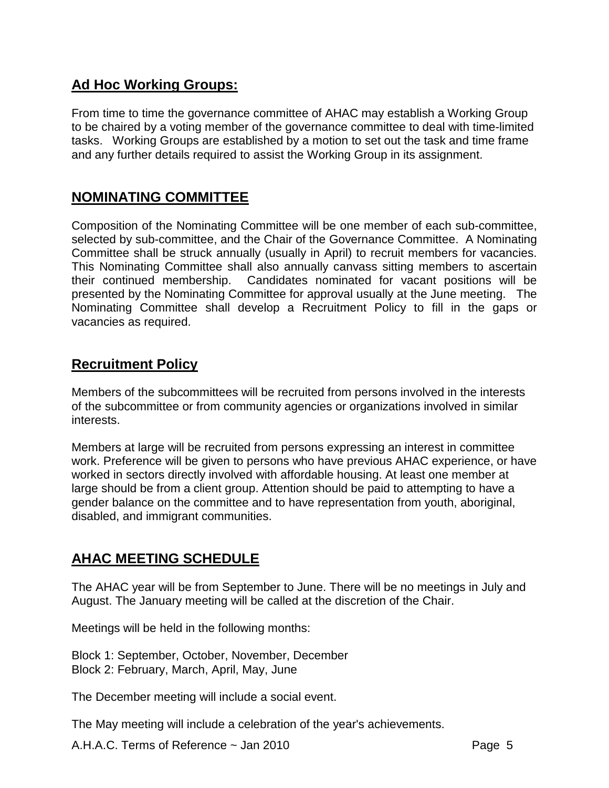# **Ad Hoc Working Groups:**

From time to time the governance committee of AHAC may establish a Working Group to be chaired by a voting member of the governance committee to deal with time-limited tasks. Working Groups are established by a motion to set out the task and time frame and any further details required to assist the Working Group in its assignment.

# **NOMINATING COMMITTEE**

Composition of the Nominating Committee will be one member of each sub-committee, selected by sub-committee, and the Chair of the Governance Committee. A Nominating Committee shall be struck annually (usually in April) to recruit members for vacancies. This Nominating Committee shall also annually canvass sitting members to ascertain their continued membership. Candidates nominated for vacant positions will be presented by the Nominating Committee for approval usually at the June meeting. The Nominating Committee shall develop a Recruitment Policy to fill in the gaps or vacancies as required.

# **Recruitment Policy**

Members of the subcommittees will be recruited from persons involved in the interests of the subcommittee or from community agencies or organizations involved in similar interests.

Members at large will be recruited from persons expressing an interest in committee work. Preference will be given to persons who have previous AHAC experience, or have worked in sectors directly involved with affordable housing. At least one member at large should be from a client group. Attention should be paid to attempting to have a gender balance on the committee and to have representation from youth, aboriginal, disabled, and immigrant communities.

# **AHAC MEETING SCHEDULE**

The AHAC year will be from September to June. There will be no meetings in July and August. The January meeting will be called at the discretion of the Chair.

Meetings will be held in the following months:

Block 1: September, October, November, December Block 2: February, March, April, May, June

The December meeting will include a social event.

The May meeting will include a celebration of the year's achievements.

A.H.A.C. Terms of Reference ~ Jan 2010 **Page 1** Page 5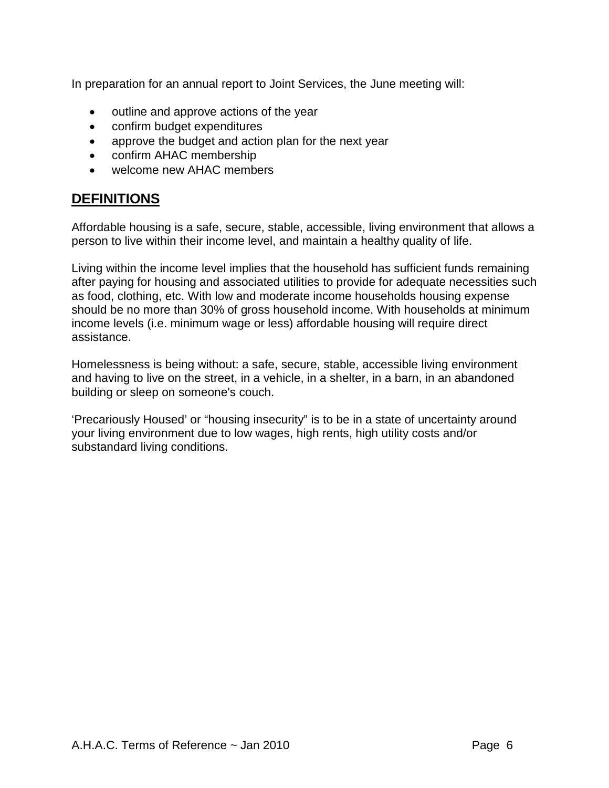In preparation for an annual report to Joint Services, the June meeting will:

- outline and approve actions of the year
- confirm budget expenditures
- approve the budget and action plan for the next year
- confirm AHAC membership
- welcome new AHAC members

# **DEFINITIONS**

Affordable housing is a safe, secure, stable, accessible, living environment that allows a person to live within their income level, and maintain a healthy quality of life.

Living within the income level implies that the household has sufficient funds remaining after paying for housing and associated utilities to provide for adequate necessities such as food, clothing, etc. With low and moderate income households housing expense should be no more than 30% of gross household income. With households at minimum income levels (i.e. minimum wage or less) affordable housing will require direct assistance.

Homelessness is being without: a safe, secure, stable, accessible living environment and having to live on the street, in a vehicle, in a shelter, in a barn, in an abandoned building or sleep on someone's couch.

'Precariously Housed' or "housing insecurity" is to be in a state of uncertainty around your living environment due to low wages, high rents, high utility costs and/or substandard living conditions.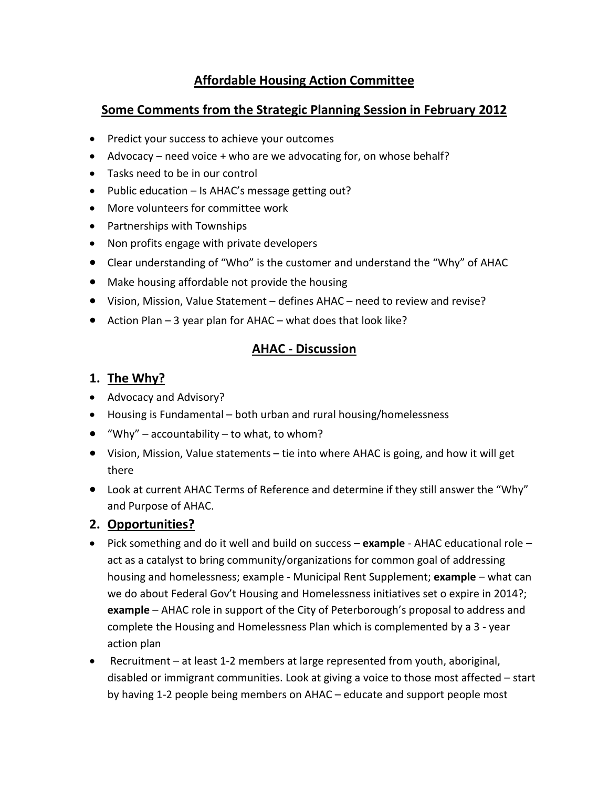# **Affordable Housing Action Committee**

# **Some Comments from the Strategic Planning Session in February 2012**

- Predict your success to achieve your outcomes
- Advocacy need voice + who are we advocating for, on whose behalf?
- Tasks need to be in our control
- Public education Is AHAC's message getting out?
- More volunteers for committee work
- Partnerships with Townships
- Non profits engage with private developers
- Clear understanding of "Who" is the customer and understand the "Why" of AHAC
- Make housing affordable not provide the housing
- Vision, Mission, Value Statement defines AHAC need to review and revise?
- Action Plan 3 year plan for AHAC what does that look like?

# **AHAC - Discussion**

# **1. The Why?**

- Advocacy and Advisory?
- Housing is Fundamental both urban and rural housing/homelessness
- "Why" accountability to what, to whom?
- Vision, Mission, Value statements tie into where AHAC is going, and how it will get there
- Look at current AHAC Terms of Reference and determine if they still answer the "Why" and Purpose of AHAC.

# **2. Opportunities?**

- Pick something and do it well and build on success **example** AHAC educational role act as a catalyst to bring community/organizations for common goal of addressing housing and homelessness; example - Municipal Rent Supplement; **example** – what can we do about Federal Gov't Housing and Homelessness initiatives set o expire in 2014?; **example** – AHAC role in support of the City of Peterborough's proposal to address and complete the Housing and Homelessness Plan which is complemented by a 3 - year action plan
- Recruitment at least 1-2 members at large represented from youth, aboriginal, disabled or immigrant communities. Look at giving a voice to those most affected – start by having 1-2 people being members on AHAC – educate and support people most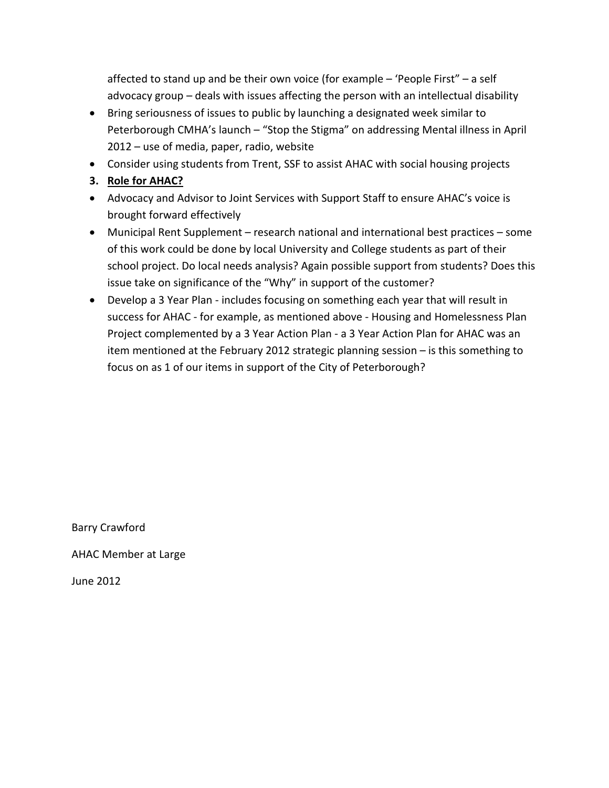affected to stand up and be their own voice (for example – 'People First" – a self advocacy group – deals with issues affecting the person with an intellectual disability

- Bring seriousness of issues to public by launching a designated week similar to Peterborough CMHA's launch – "Stop the Stigma" on addressing Mental illness in April 2012 – use of media, paper, radio, website
- Consider using students from Trent, SSF to assist AHAC with social housing projects
- **3. Role for AHAC?**
- Advocacy and Advisor to Joint Services with Support Staff to ensure AHAC's voice is brought forward effectively
- Municipal Rent Supplement research national and international best practices some of this work could be done by local University and College students as part of their school project. Do local needs analysis? Again possible support from students? Does this issue take on significance of the "Why" in support of the customer?
- Develop a 3 Year Plan includes focusing on something each year that will result in success for AHAC - for example, as mentioned above - Housing and Homelessness Plan Project complemented by a 3 Year Action Plan - a 3 Year Action Plan for AHAC was an item mentioned at the February 2012 strategic planning session – is this something to focus on as 1 of our items in support of the City of Peterborough?

Barry Crawford

AHAC Member at Large

June 2012